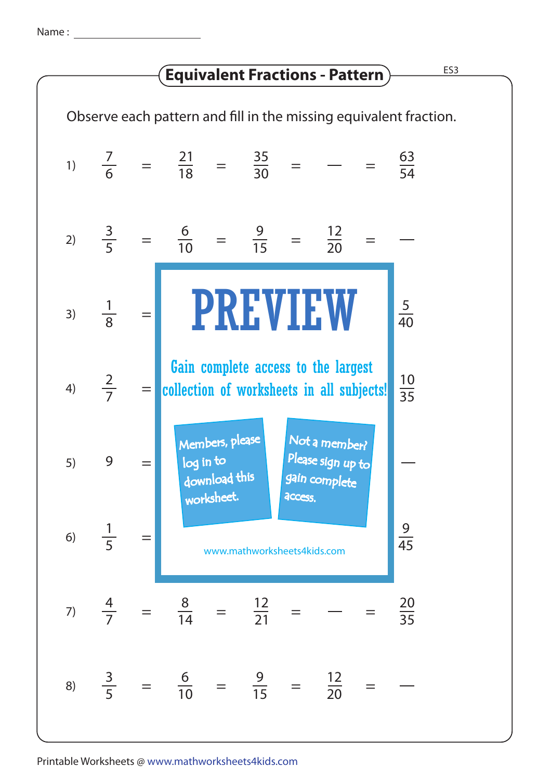